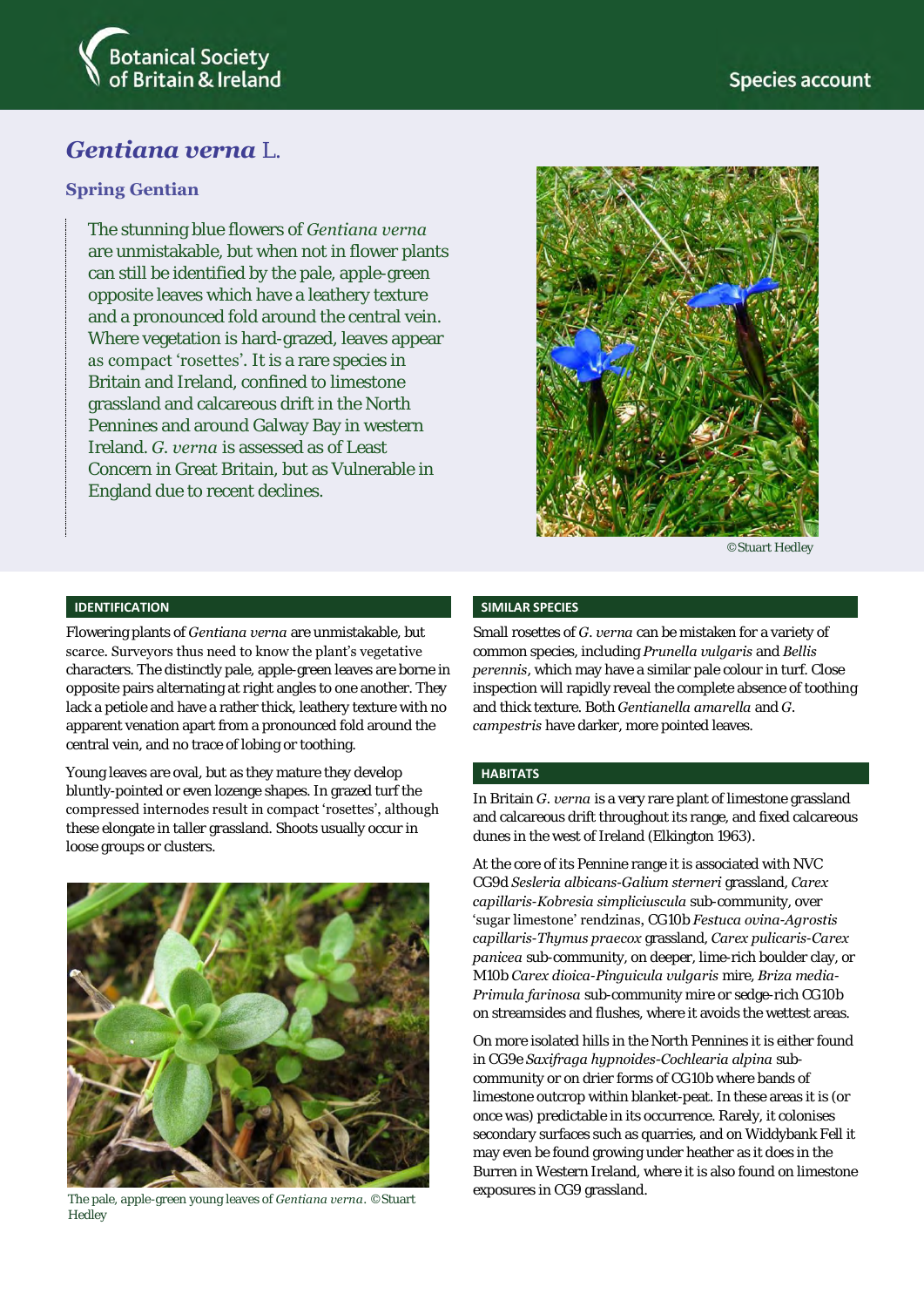

# *Gentiana verna* L.

### **Spring Gentian**

The stunning blue flowers of *Gentiana verna* are unmistakable, but when not in flower plants can still be identified by the pale, apple-green opposite leaves which have a leathery texture and a pronounced fold around the central vein. Where vegetation is hard-grazed, leaves appear as compact 'rosettes'. It is a rare species in Britain and Ireland, confined to limestone grassland and calcareous drift in the North Pennines and around Galway Bay in western Ireland. *G. verna* is assessed as of Least Concern in Great Britain, but as Vulnerable in England due to recent declines.



©Stuart Hedley

#### **IDENTIFICATION**

Flowering plants of *Gentiana verna* are unmistakable, but scarce. Surveyors thus need to know the plant's vegetative characters. The distinctly pale, apple-green leaves are borne in opposite pairs alternating at right angles to one another. They lack a petiole and have a rather thick, leathery texture with no apparent venation apart from a pronounced fold around the central vein, and no trace of lobing or toothing.

Young leaves are oval, but as they mature they develop bluntly-pointed or even lozenge shapes. In grazed turf the compressed internodes result in compact 'rosettes', although these elongate in taller grassland. Shoots usually occur in loose groups or clusters.



exposures in CG9 grassland. The pale, apple-green young leaves of *Gentiana verna*. ©Stuart Hedley

#### **SIMILAR SPECIES**

Small rosettes of *G. verna* can be mistaken for a variety of common species, including *Prunella vulgaris* and *Bellis perennis*, which may have a similar pale colour in turf. Close inspection will rapidly reveal the complete absence of toothing and thick texture. Both *Gentianella amarella* and *G. campestris* have darker, more pointed leaves.

#### **HABITATS**

In Britain *G. verna* is a very rare plant of limestone grassland and calcareous drift throughout its range, and fixed calcareous dunes in the west of Ireland (Elkington 1963).

At the core of its Pennine range it is associated with NVC CG9d *Sesleria albicans*-*Galium sterneri* grassland, *Carex capillaris*-*Kobresia simpliciuscula* sub-community, over 'sugar limestone' rendzinas, CG10b *Festuca ovina*-*Agrostis capillaris*-*Thymus praecox* grassland, *Carex pulicaris*-*Carex panicea* sub-community, on deeper, lime-rich boulder clay, or M10b *Carex dioica*-*Pinguicula vulgaris* mire, *Briza media*-*Primula farinosa* sub-community mire or sedge-rich CG10b on streamsides and flushes, where it avoids the wettest areas.

On more isolated hills in the North Pennines it is either found in CG9e *Saxifraga hypnoides-Cochlearia alpina* subcommunity or on drier forms of CG10b where bands of limestone outcrop within blanket-peat. In these areas it is (or once was) predictable in its occurrence. Rarely, it colonises secondary surfaces such as quarries, and on Widdybank Fell it may even be found growing under heather as it does in the Burren in Western Ireland, where it is also found on limestone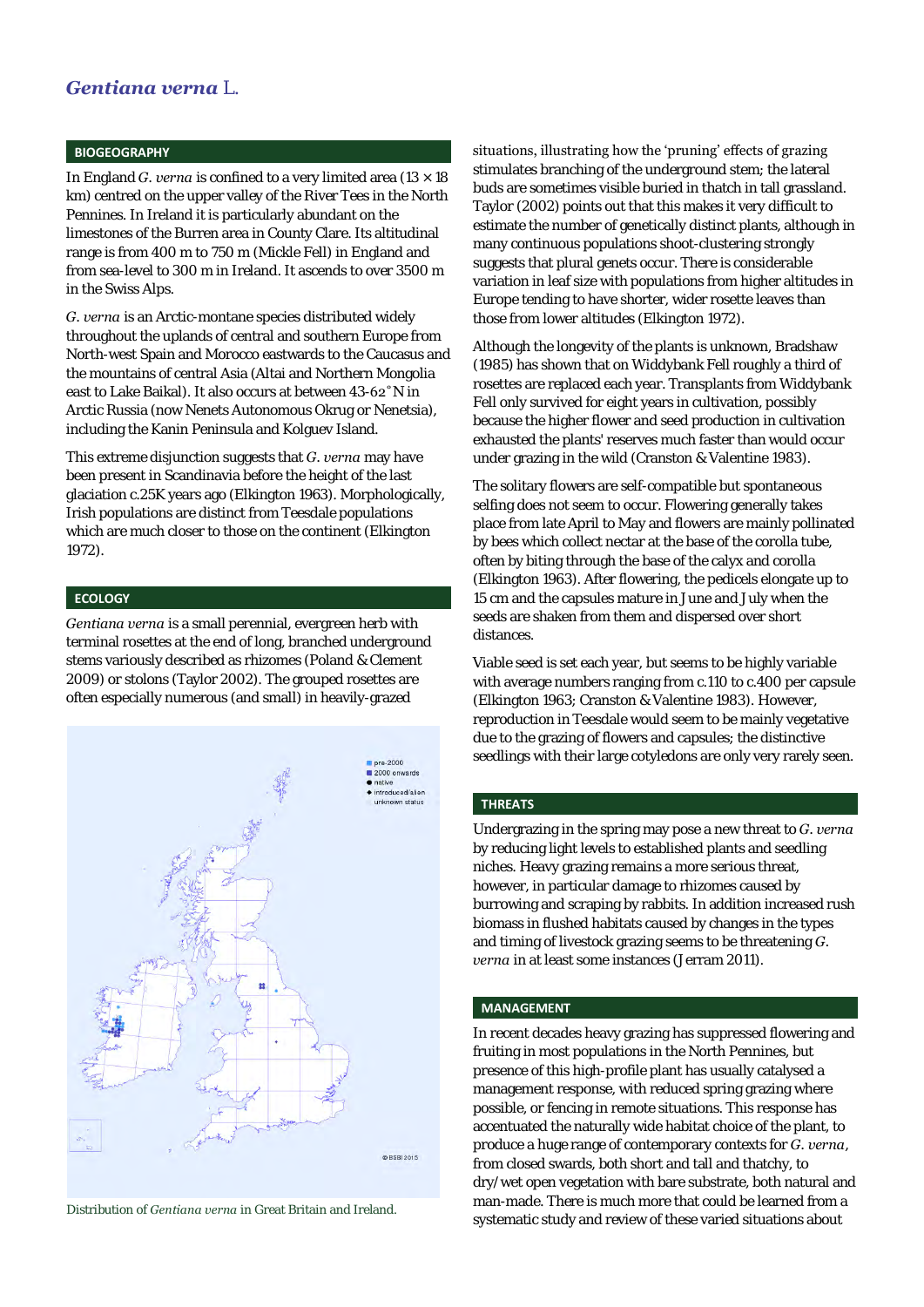### *Gentiana verna* L.

#### **BIOGEOGRAPHY**

In England *G. verna* is confined to a very limited area  $(13 \times 18)$ km) centred on the upper valley of the River Tees in the North Pennines. In Ireland it is particularly abundant on the limestones of the Burren area in County Clare. Its altitudinal range is from 400 m to 750 m (Mickle Fell) in England and from sea-level to 300 m in Ireland. It ascends to over 3500 m in the Swiss Alps.

*G. verna* is an Arctic-montane species distributed widely throughout the uplands of central and southern Europe from North-west Spain and Morocco eastwards to the Caucasus and the mountains of central Asia (Altai and Northern Mongolia east to Lake Baikal). It also occurs at between 43-62˚N in Arctic Russia (now Nenets Autonomous Okrug or Nenetsia), including the Kanin Peninsula and Kolguev Island.

This extreme disjunction suggests that *G. verna* may have been present in Scandinavia before the height of the last glaciation c.25K years ago (Elkington 1963). Morphologically, Irish populations are distinct from Teesdale populations which are much closer to those on the continent (Elkington 1972).

#### **ECOLOGY**

*Gentiana verna* is a small perennial, evergreen herb with terminal rosettes at the end of long, branched underground stems variously described as rhizomes (Poland & Clement 2009) or stolons (Taylor 2002). The grouped rosettes are often especially numerous (and small) in heavily-grazed



Distribution of *Gentiana verna* in Great Britain and Ireland.

#### situations, illustrating how the 'pruning' effects of grazing

stimulates branching of the underground stem; the lateral buds are sometimes visible buried in thatch in tall grassland. Taylor (2002) points out that this makes it very difficult to estimate the number of genetically distinct plants, although in many continuous populations shoot-clustering strongly suggests that plural genets occur. There is considerable variation in leaf size with populations from higher altitudes in Europe tending to have shorter, wider rosette leaves than those from lower altitudes (Elkington 1972).

Although the longevity of the plants is unknown, Bradshaw (1985) has shown that on Widdybank Fell roughly a third of rosettes are replaced each year. Transplants from Widdybank Fell only survived for eight years in cultivation, possibly because the higher flower and seed production in cultivation exhausted the plants' reserves much faster than would occur under grazing in the wild (Cranston & Valentine 1983).

The solitary flowers are self-compatible but spontaneous selfing does not seem to occur. Flowering generally takes place from late April to May and flowers are mainly pollinated by bees which collect nectar at the base of the corolla tube, often by biting through the base of the calyx and corolla (Elkington 1963). After flowering, the pedicels elongate up to 15 cm and the capsules mature in June and July when the seeds are shaken from them and dispersed over short distances.

Viable seed is set each year, but seems to be highly variable with average numbers ranging from c.110 to c.400 per capsule (Elkington 1963; Cranston & Valentine 1983). However, reproduction in Teesdale would seem to be mainly vegetative due to the grazing of flowers and capsules; the distinctive seedlings with their large cotyledons are only very rarely seen.

#### **THREATS**

Undergrazing in the spring may pose a new threat to *G. verna* by reducing light levels to established plants and seedling niches. Heavy grazing remains a more serious threat, however, in particular damage to rhizomes caused by burrowing and scraping by rabbits. In addition increased rush biomass in flushed habitats caused by changes in the types and timing of livestock grazing seems to be threatening *G. verna* in at least some instances (Jerram 2011).

#### **MANAGEMENT**

In recent decades heavy grazing has suppressed flowering and fruiting in most populations in the North Pennines, but presence of this high-profile plant has usually catalysed a management response, with reduced spring grazing where possible, or fencing in remote situations. This response has accentuated the naturally wide habitat choice of the plant, to produce a huge range of contemporary contexts for *G. verna*, from closed swards, both short and tall and thatchy, to dry/wet open vegetation with bare substrate, both natural and man-made. There is much more that could be learned from a systematic study and review of these varied situations about